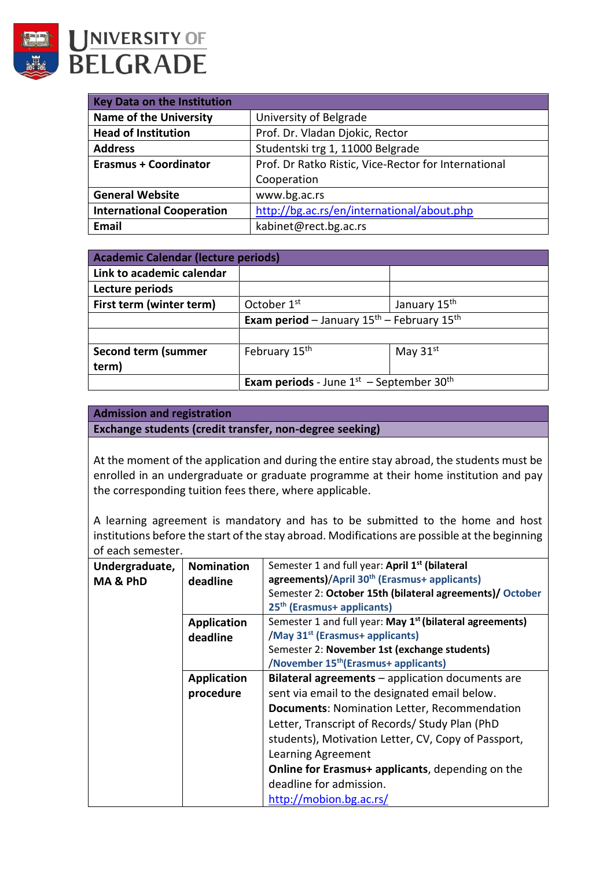

UNIVERSITY OF **BELGRADE** 

| <b>Key Data on the Institution</b> |                                                      |  |
|------------------------------------|------------------------------------------------------|--|
| <b>Name of the University</b>      | University of Belgrade                               |  |
| <b>Head of Institution</b>         | Prof. Dr. Vladan Djokic, Rector                      |  |
| <b>Address</b>                     | Studentski trg 1, 11000 Belgrade                     |  |
| <b>Erasmus + Coordinator</b>       | Prof. Dr Ratko Ristic, Vice-Rector for International |  |
|                                    | Cooperation                                          |  |
| <b>General Website</b>             | www.bg.ac.rs                                         |  |
| <b>International Cooperation</b>   | http://bg.ac.rs/en/international/about.php           |  |
| <b>Email</b>                       | kabinet@rect.bg.ac.rs                                |  |

| <b>Academic Calendar (lecture periods)</b> |                                                                  |                          |
|--------------------------------------------|------------------------------------------------------------------|--------------------------|
| Link to academic calendar                  |                                                                  |                          |
| Lecture periods                            |                                                                  |                          |
| First term (winter term)                   | October 1 <sup>st</sup>                                          | January 15 <sup>th</sup> |
|                                            | <b>Exam period</b> – January $15th$ – February $15th$            |                          |
|                                            |                                                                  |                          |
| Second term (summer                        | February 15 <sup>th</sup>                                        | May $31st$               |
| term)                                      |                                                                  |                          |
|                                            | <b>Exam periods</b> - June $1^{st}$ – September 30 <sup>th</sup> |                          |

## **Admission and registration**

**Exchange students (credit transfer, non-degree seeking)**

At the moment of the application and during the entire stay abroad, the students must be enrolled in an undergraduate or graduate programme at their home institution and pay the corresponding tuition fees there, where applicable.

A learning agreement is mandatory and has to be submitted to the home and host institutions before the start of the stay abroad. Modifications are possible at the beginning of each semester.

| Undergraduate,      | <b>Nomination</b>  | Semester 1 and full year: April 1 <sup>st</sup> (bilateral           |  |
|---------------------|--------------------|----------------------------------------------------------------------|--|
| <b>MA &amp; PhD</b> | deadline           | agreements)/April 30 <sup>th</sup> (Erasmus+ applicants)             |  |
|                     |                    | Semester 2: October 15th (bilateral agreements)/ October             |  |
|                     |                    | 25 <sup>th</sup> (Erasmus+ applicants)                               |  |
|                     | <b>Application</b> | Semester 1 and full year: May 1 <sup>st</sup> (bilateral agreements) |  |
|                     | deadline           | /May 31 <sup>st</sup> (Erasmus+ applicants)                          |  |
|                     |                    | Semester 2: November 1st (exchange students)                         |  |
|                     |                    | /November 15 <sup>th</sup> (Erasmus+ applicants)                     |  |
|                     | <b>Application</b> | Bilateral agreements - application documents are                     |  |
|                     | procedure          | sent via email to the designated email below.                        |  |
|                     |                    | <b>Documents: Nomination Letter, Recommendation</b>                  |  |
|                     |                    | Letter, Transcript of Records/ Study Plan (PhD                       |  |
|                     |                    | students), Motivation Letter, CV, Copy of Passport,                  |  |
|                     |                    | Learning Agreement                                                   |  |
|                     |                    | <b>Online for Erasmus+ applicants, depending on the</b>              |  |
|                     |                    | deadline for admission.                                              |  |
|                     |                    | http://mobion.bg.ac.rs/                                              |  |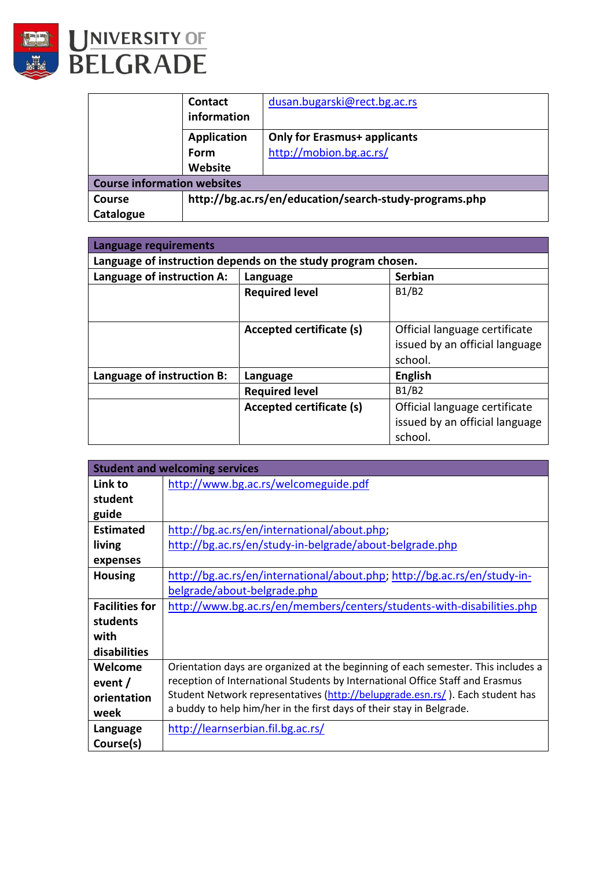



|                                    | <b>Contact</b>                                         | dusan.bugarski@rect.bg.ac.rs        |
|------------------------------------|--------------------------------------------------------|-------------------------------------|
|                                    | information                                            |                                     |
|                                    | <b>Application</b>                                     | <b>Only for Erasmus+ applicants</b> |
|                                    | Form                                                   | http://mobion.bg.ac.rs/             |
|                                    | Website                                                |                                     |
| <b>Course information websites</b> |                                                        |                                     |
| <b>Course</b>                      | http://bg.ac.rs/en/education/search-study-programs.php |                                     |
| Catalogue                          |                                                        |                                     |

| Language requirements                                        |                          |                                |  |
|--------------------------------------------------------------|--------------------------|--------------------------------|--|
| Language of instruction depends on the study program chosen. |                          |                                |  |
| Language of instruction A:                                   | Language                 | <b>Serbian</b>                 |  |
|                                                              | <b>Required level</b>    | B1/B2                          |  |
|                                                              |                          |                                |  |
|                                                              | Accepted certificate (s) | Official language certificate  |  |
|                                                              |                          | issued by an official language |  |
|                                                              |                          | school.                        |  |
| Language of instruction B:                                   | Language                 | <b>English</b>                 |  |
|                                                              | <b>Required level</b>    | B1/B2                          |  |
|                                                              | Accepted certificate (s) | Official language certificate  |  |
|                                                              |                          | issued by an official language |  |
|                                                              |                          | school.                        |  |

|                       | <b>Student and welcoming services</b>                                             |
|-----------------------|-----------------------------------------------------------------------------------|
| Link to               | http://www.bg.ac.rs/welcomeguide.pdf                                              |
| student               |                                                                                   |
| guide                 |                                                                                   |
| <b>Estimated</b>      | http://bg.ac.rs/en/international/about.php;                                       |
| living                | http://bg.ac.rs/en/study-in-belgrade/about-belgrade.php                           |
| expenses              |                                                                                   |
| <b>Housing</b>        | http://bg.ac.rs/en/international/about.php; http://bg.ac.rs/en/study-in-          |
|                       | belgrade/about-belgrade.php                                                       |
| <b>Facilities for</b> | http://www.bg.ac.rs/en/members/centers/students-with-disabilities.php             |
| students              |                                                                                   |
| with                  |                                                                                   |
| disabilities          |                                                                                   |
| Welcome               | Orientation days are organized at the beginning of each semester. This includes a |
| event /               | reception of International Students by International Office Staff and Erasmus     |
| orientation           | Student Network representatives (http://belupgrade.esn.rs/). Each student has     |
| week                  | a buddy to help him/her in the first days of their stay in Belgrade.              |
| Language              | http://learnserbian.fil.bg.ac.rs/                                                 |
| Course(s)             |                                                                                   |